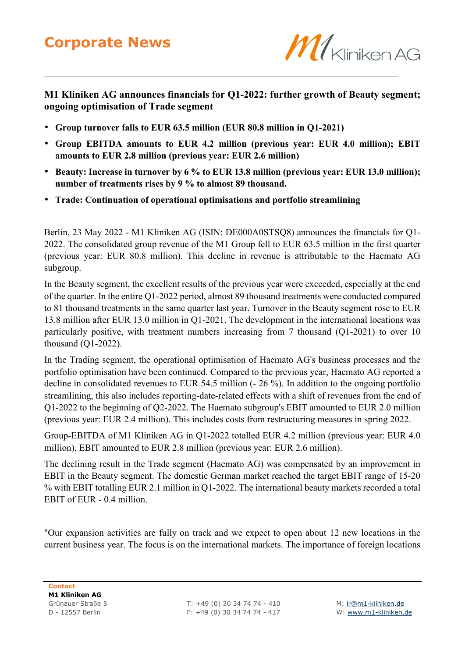## **Corporate News**



## **M1 Kliniken AG announces financials for Q1-2022: further growth of Beauty segment; ongoing optimisation of Trade segment**

- **Group turnover falls to EUR 63.5 million (EUR 80.8 million in Q1-2021)**
- **Group EBITDA amounts to EUR 4.2 million (previous year: EUR 4.0 million); EBIT amounts to EUR 2.8 million (previous year: EUR 2.6 million)**
- **Beauty: Increase in turnover by 6 % to EUR 13.8 million (previous year: EUR 13.0 million); number of treatments rises by 9 % to almost 89 thousand.**
- **Trade: Continuation of operational optimisations and portfolio streamlining**

Berlin, 23 May 2022 - M1 Kliniken AG (ISIN: DE000A0STSQ8) announces the financials for Q1- 2022. The consolidated group revenue of the M1 Group fell to EUR 63.5 million in the first quarter (previous year: EUR 80.8 million). This decline in revenue is attributable to the Haemato AG subgroup.

In the Beauty segment, the excellent results of the previous year were exceeded, especially at the end of the quarter. In the entire Q1-2022 period, almost 89 thousand treatments were conducted compared to 81 thousand treatments in the same quarter last year. Turnover in the Beauty segment rose to EUR 13.8 million after EUR 13.0 million in Q1-2021. The development in the international locations was particularly positive, with treatment numbers increasing from 7 thousand (Q1-2021) to over 10 thousand (Q1-2022).

In the Trading segment, the operational optimisation of Haemato AG's business processes and the portfolio optimisation have been continued. Compared to the previous year, Haemato AG reported a decline in consolidated revenues to EUR 54.5 million (- 26 %). In addition to the ongoing portfolio streamlining, this also includes reporting-date-related effects with a shift of revenues from the end of Q1-2022 to the beginning of Q2-2022. The Haemato subgroup's EBIT amounted to EUR 2.0 million (previous year: EUR 2.4 million). This includes costs from restructuring measures in spring 2022.

Group-EBITDA of M1 Kliniken AG in Q1-2022 totalled EUR 4.2 million (previous year: EUR 4.0 million), EBIT amounted to EUR 2.8 million (previous year: EUR 2.6 million).

The declining result in the Trade segment (Haemato AG) was compensated by an improvement in EBIT in the Beauty segment. The domestic German market reached the target EBIT range of 15-20 % with EBIT totalling EUR 2.1 million in Q1-2022. The international beauty markets recorded a total EBIT of EUR - 0.4 million.

"Our expansion activities are fully on track and we expect to open about 12 new locations in the current business year. The focus is on the international markets. The importance of foreign locations

Grünauer Straße 5 T: +49 (0) 30 34 74 74 - 410 M: [ir@m1-kliniken.de](mailto:ir@m1-kliniken.de) D - 12557 Berlin F: +49 (0) 30 34 74 74 - 417 W: [www.m1-kliniken.de](http://www.m1-kliniken.de/)